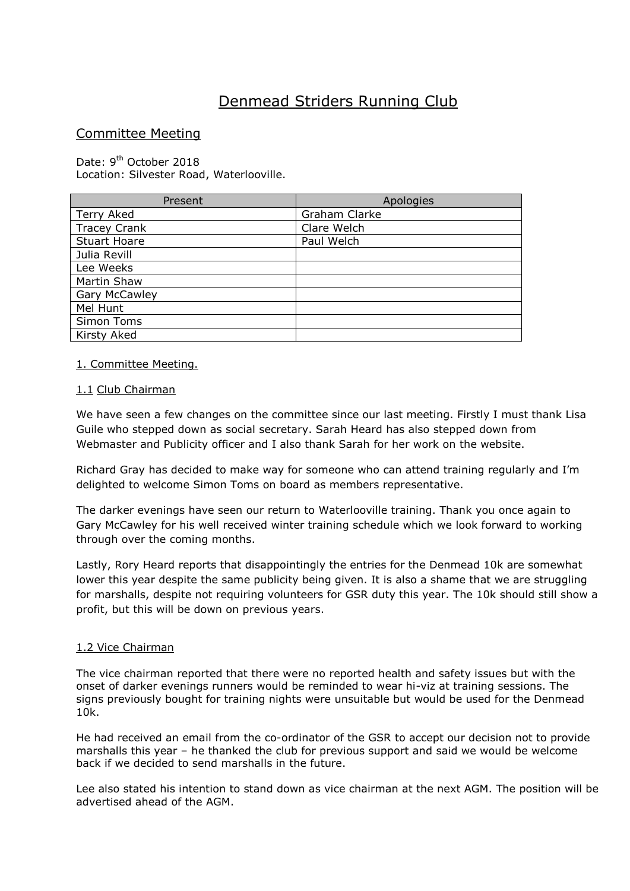# Denmead Striders Running Club

# Committee Meeting

Date: 9<sup>th</sup> October 2018 Location: Silvester Road, Waterlooville.

| Present              | Apologies     |
|----------------------|---------------|
| Terry Aked           | Graham Clarke |
| <b>Tracey Crank</b>  | Clare Welch   |
| <b>Stuart Hoare</b>  | Paul Welch    |
| Julia Revill         |               |
| Lee Weeks            |               |
| Martin Shaw          |               |
| <b>Gary McCawley</b> |               |
| Mel Hunt             |               |
| Simon Toms           |               |
| Kirsty Aked          |               |

#### 1. Committee Meeting.

#### 1.1 Club Chairman

We have seen a few changes on the committee since our last meeting. Firstly I must thank Lisa Guile who stepped down as social secretary. Sarah Heard has also stepped down from Webmaster and Publicity officer and I also thank Sarah for her work on the website.

Richard Gray has decided to make way for someone who can attend training regularly and I'm delighted to welcome Simon Toms on board as members representative.

The darker evenings have seen our return to Waterlooville training. Thank you once again to Gary McCawley for his well received winter training schedule which we look forward to working through over the coming months.

Lastly, Rory Heard reports that disappointingly the entries for the Denmead 10k are somewhat lower this year despite the same publicity being given. It is also a shame that we are struggling for marshalls, despite not requiring volunteers for GSR duty this year. The 10k should still show a profit, but this will be down on previous years.

#### 1.2 Vice Chairman

The vice chairman reported that there were no reported health and safety issues but with the onset of darker evenings runners would be reminded to wear hi-viz at training sessions. The signs previously bought for training nights were unsuitable but would be used for the Denmead 10k.

He had received an email from the co-ordinator of the GSR to accept our decision not to provide marshalls this year – he thanked the club for previous support and said we would be welcome back if we decided to send marshalls in the future.

Lee also stated his intention to stand down as vice chairman at the next AGM. The position will be advertised ahead of the AGM.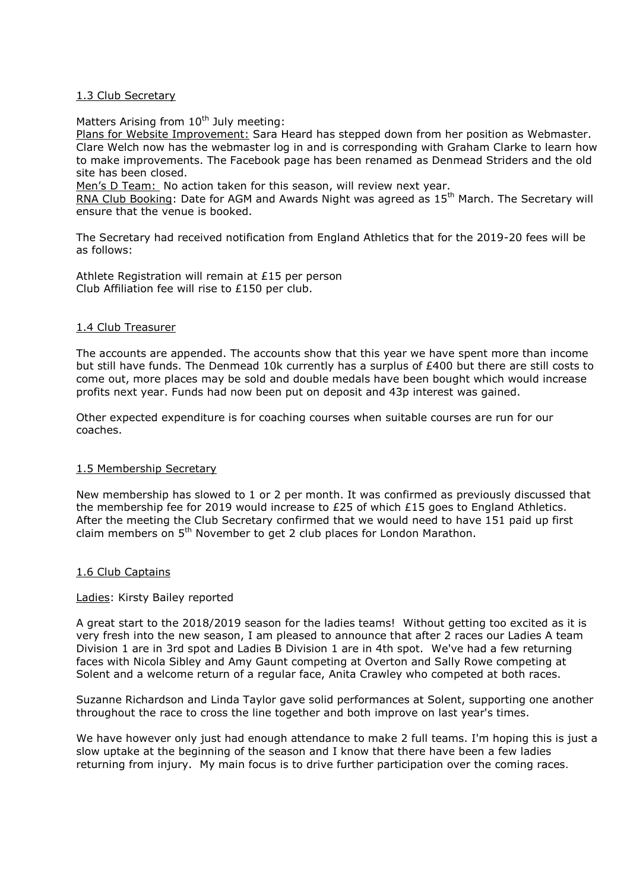#### 1.3 Club Secretary

Matters Arising from 10<sup>th</sup> July meeting:

Plans for Website Improvement: Sara Heard has stepped down from her position as Webmaster. Clare Welch now has the webmaster log in and is corresponding with Graham Clarke to learn how to make improvements. The Facebook page has been renamed as Denmead Striders and the old site has been closed.

Men's D Team: No action taken for this season, will review next year.

RNA Club Booking: Date for AGM and Awards Night was agreed as  $15<sup>th</sup>$  March. The Secretary will ensure that the venue is booked.

The Secretary had received notification from England Athletics that for the 2019-20 fees will be as follows:

Athlete Registration will remain at £15 per person Club Affiliation fee will rise to £150 per club.

#### 1.4 Club Treasurer

The accounts are appended. The accounts show that this year we have spent more than income but still have funds. The Denmead 10k currently has a surplus of £400 but there are still costs to come out, more places may be sold and double medals have been bought which would increase profits next year. Funds had now been put on deposit and 43p interest was gained.

Other expected expenditure is for coaching courses when suitable courses are run for our coaches.

#### 1.5 Membership Secretary

New membership has slowed to 1 or 2 per month. It was confirmed as previously discussed that the membership fee for 2019 would increase to £25 of which £15 goes to England Athletics. After the meeting the Club Secretary confirmed that we would need to have 151 paid up first claim members on 5<sup>th</sup> November to get 2 club places for London Marathon.

#### 1.6 Club Captains

#### Ladies: Kirsty Bailey reported

A great start to the 2018/2019 season for the ladies teams! Without getting too excited as it is very fresh into the new season, I am pleased to announce that after 2 races our Ladies A team Division 1 are in 3rd spot and Ladies B Division 1 are in 4th spot. We've had a few returning faces with Nicola Sibley and Amy Gaunt competing at Overton and Sally Rowe competing at Solent and a welcome return of a regular face, Anita Crawley who competed at both races.

Suzanne Richardson and Linda Taylor gave solid performances at Solent, supporting one another throughout the race to cross the line together and both improve on last year's times.

We have however only just had enough attendance to make 2 full teams. I'm hoping this is just a slow uptake at the beginning of the season and I know that there have been a few ladies returning from injury. My main focus is to drive further participation over the coming races.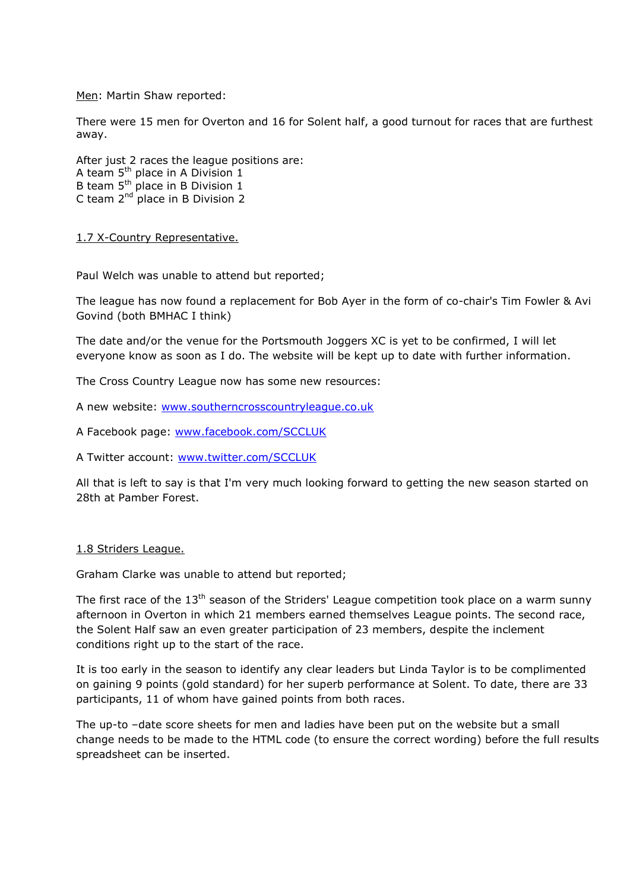Men: Martin Shaw reported:

There were 15 men for Overton and 16 for Solent half, a good turnout for races that are furthest away.

After just 2 races the league positions are: A team 5<sup>th</sup> place in A Division 1 B team  $5<sup>th</sup>$  place in B Division 1 C team  $2<sup>nd</sup>$  place in B Division 2

1.7 X-Country Representative.

Paul Welch was unable to attend but reported;

The league has now found a replacement for Bob Ayer in the form of co-chair's Tim Fowler & Avi Govind (both BMHAC I think)

The date and/or the venue for the Portsmouth Joggers XC is yet to be confirmed, I will let everyone know as soon as I do. The website will be kept up to date with further information.

The Cross Country League now has some new resources:

A new website: [www.southerncrosscountryleague.co.uk](http://www.southerncrosscountryleague.co.uk/)

A Facebook page: [www.facebook.com/SCCLUK](http://www.facebook.com/SCCLUK)

A Twitter account: [www.twitter.com/SCCLUK](http://www.twitter.com/SCCLUK)

All that is left to say is that I'm very much looking forward to getting the new season started on 28th at Pamber Forest.

#### 1.8 Striders League.

Graham Clarke was unable to attend but reported;

The first race of the 13<sup>th</sup> season of the Striders' League competition took place on a warm sunny afternoon in Overton in which 21 members earned themselves League points. The second race, the Solent Half saw an even greater participation of 23 members, despite the inclement conditions right up to the start of the race.

It is too early in the season to identify any clear leaders but Linda Taylor is to be complimented on gaining 9 points (gold standard) for her superb performance at Solent. To date, there are 33 participants, 11 of whom have gained points from both races.

The up-to –date score sheets for men and ladies have been put on the website but a small change needs to be made to the HTML code (to ensure the correct wording) before the full results spreadsheet can be inserted.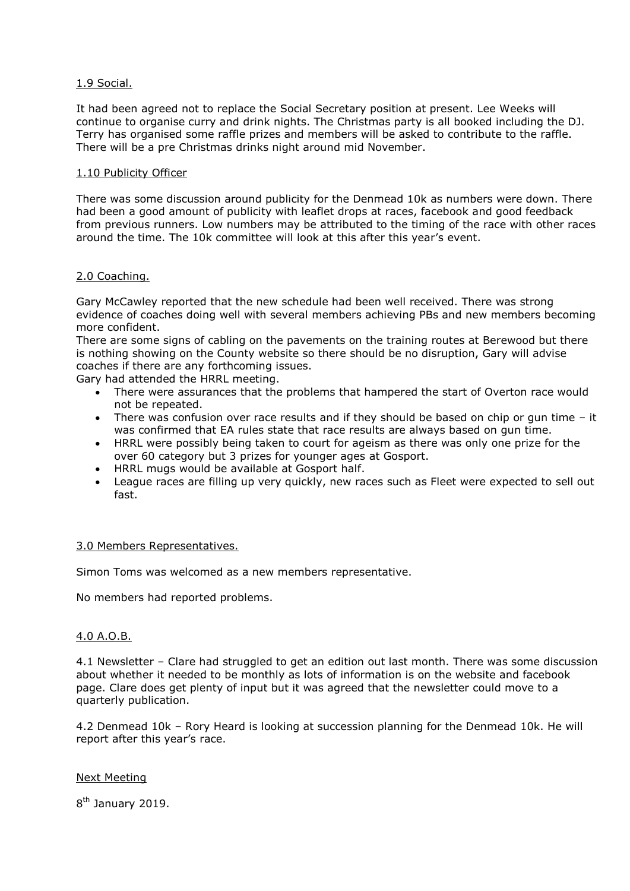### 1.9 Social.

It had been agreed not to replace the Social Secretary position at present. Lee Weeks will continue to organise curry and drink nights. The Christmas party is all booked including the DJ. Terry has organised some raffle prizes and members will be asked to contribute to the raffle. There will be a pre Christmas drinks night around mid November.

#### 1.10 Publicity Officer

There was some discussion around publicity for the Denmead 10k as numbers were down. There had been a good amount of publicity with leaflet drops at races, facebook and good feedback from previous runners. Low numbers may be attributed to the timing of the race with other races around the time. The 10k committee will look at this after this year's event.

#### 2.0 Coaching.

Gary McCawley reported that the new schedule had been well received. There was strong evidence of coaches doing well with several members achieving PBs and new members becoming more confident.

There are some signs of cabling on the pavements on the training routes at Berewood but there is nothing showing on the County website so there should be no disruption, Gary will advise coaches if there are any forthcoming issues.

Gary had attended the HRRL meeting.

- There were assurances that the problems that hampered the start of Overton race would not be repeated.
- There was confusion over race results and if they should be based on chip or gun time it was confirmed that EA rules state that race results are always based on gun time.
- HRRL were possibly being taken to court for ageism as there was only one prize for the over 60 category but 3 prizes for younger ages at Gosport.
- HRRL mugs would be available at Gosport half.
- League races are filling up very quickly, new races such as Fleet were expected to sell out fast.

#### 3.0 Members Representatives.

Simon Toms was welcomed as a new members representative.

No members had reported problems.

## 4.0 A.O.B.

4.1 Newsletter – Clare had struggled to get an edition out last month. There was some discussion about whether it needed to be monthly as lots of information is on the website and facebook page. Clare does get plenty of input but it was agreed that the newsletter could move to a quarterly publication.

4.2 Denmead 10k – Rory Heard is looking at succession planning for the Denmead 10k. He will report after this year's race.

#### Next Meeting

8<sup>th</sup> January 2019.